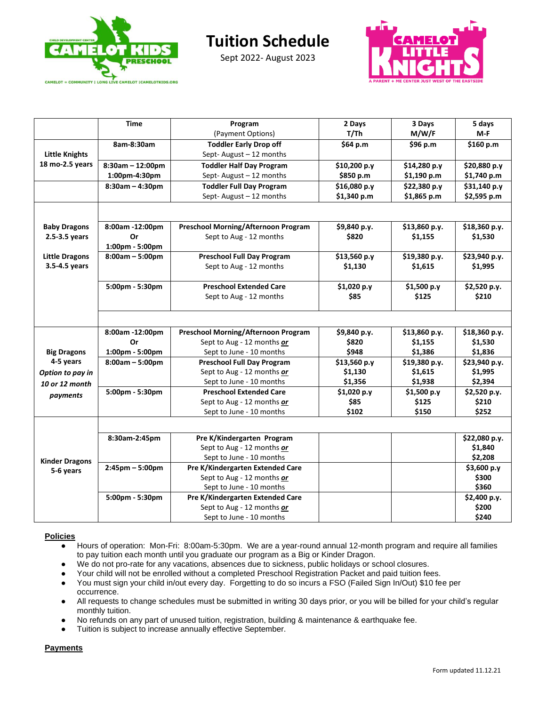

Sept 2022- August 2023



|                       | <b>Time</b>        | Program                                                        | 2 Days       | 3 Days        | 5 days               |
|-----------------------|--------------------|----------------------------------------------------------------|--------------|---------------|----------------------|
|                       |                    | (Payment Options)                                              | T/Th         | M/W/F         | M-F                  |
|                       | 8am-8:30am         | <b>Toddler Early Drop off</b>                                  | \$64 p.m     | \$96 p.m      | \$160 p.m            |
| <b>Little Knights</b> |                    | Sept-August - 12 months                                        |              |               |                      |
| 18 mo-2.5 years       | $8:30am - 12:00pm$ | <b>Toddler Half Day Program</b>                                | \$10,200 p.y | \$14,280 p.y  | \$20,880 p.y         |
|                       | 1:00pm-4:30pm      | Sept-August - 12 months                                        | \$850 p.m    | \$1,190 p.m   | \$1,740 p.m          |
|                       | $8:30am - 4:30pm$  | <b>Toddler Full Day Program</b>                                | \$16,080 p.y | \$22,380 p.y  | \$31,140 p.y         |
|                       |                    | Sept-August-12 months                                          | \$1,340 p.m  | \$1,865 p.m   | \$2,595 p.m          |
|                       |                    |                                                                |              |               |                      |
|                       |                    |                                                                |              |               |                      |
| <b>Baby Dragons</b>   | 8:00am -12:00pm    | <b>Preschool Morning/Afternoon Program</b>                     | \$9,840 p.y. | \$13,860 p.y. | \$18,360 p.y.        |
| 2.5-3.5 years         | Or                 | Sept to Aug - 12 months                                        | \$820        | \$1,155       | \$1,530              |
|                       | 1:00pm - 5:00pm    |                                                                |              |               |                      |
| <b>Little Dragons</b> | $8:00am - 5:00pm$  | <b>Preschool Full Day Program</b>                              | \$13,560 p.y | \$19,380 p.y. | \$23,940 p.y.        |
| 3.5-4.5 years         |                    | Sept to Aug - 12 months                                        | \$1,130      | \$1,615       | \$1,995              |
|                       |                    |                                                                |              |               |                      |
|                       | 5:00pm - 5:30pm    | <b>Preschool Extended Care</b>                                 | \$1,020 p.y  | \$1,500 p.y   | \$2,520 p.y.         |
|                       |                    | Sept to Aug - 12 months                                        | \$85         | \$125         | \$210                |
|                       |                    |                                                                |              |               |                      |
|                       |                    |                                                                |              |               |                      |
|                       | 8:00am -12:00pm    | <b>Preschool Morning/Afternoon Program</b>                     | \$9,840 p.y. | \$13,860 p.y. | \$18,360 p.y.        |
|                       | Or                 | Sept to Aug - 12 months or                                     | \$820        | \$1,155       | \$1,530              |
| <b>Big Dragons</b>    | 1:00pm - 5:00pm    | Sept to June - 10 months                                       | \$948        | \$1,386       | \$1,836              |
| 4-5 years             | $8:00am - 5:00pm$  | <b>Preschool Full Day Program</b>                              | \$13,560 p.y | \$19,380 p.y. | \$23,940 p.y.        |
| Option to pay in      |                    | Sept to Aug - 12 months or                                     | \$1,130      | \$1,615       | \$1,995              |
| 10 or 12 month        |                    | Sept to June - 10 months                                       | \$1,356      | \$1,938       | \$2,394              |
| payments              | 5:00pm - 5:30pm    | <b>Preschool Extended Care</b>                                 | \$1,020 p.y  | \$1,500 p.y   | \$2,520 p.y.         |
|                       |                    | Sept to Aug - 12 months or                                     | \$85         | \$125         | \$210                |
|                       |                    | Sept to June - 10 months                                       | \$102        | \$150         | \$252                |
|                       |                    |                                                                |              |               |                      |
|                       |                    |                                                                |              |               |                      |
|                       | 8:30am-2:45pm      | Pre K/Kindergarten Program                                     |              |               | \$22,080 p.y.        |
|                       |                    | Sept to Aug - 12 months or                                     |              |               | \$1,840              |
| <b>Kinder Dragons</b> |                    | Sept to June - 10 months                                       |              |               | \$2,208              |
| 5-6 years             | $2:45$ pm - 5:00pm | Pre K/Kindergarten Extended Care<br>Sept to Aug - 12 months or |              |               | \$3,600 p.y<br>\$300 |
|                       |                    | Sept to June - 10 months                                       |              |               | \$360                |
|                       |                    | Pre K/Kindergarten Extended Care                               |              |               |                      |
|                       | 5:00pm - 5:30pm    |                                                                |              |               | \$2,400 p.y.         |
|                       |                    | Sept to Aug - 12 months or<br>Sept to June - 10 months         |              |               | \$200<br>\$240       |
|                       |                    |                                                                |              |               |                      |

## **Policies**

- Hours of operation: Mon-Fri: 8:00am-5:30pm. We are a year-round annual 12-month program and require all families to pay tuition each month until you graduate our program as a Big or Kinder Dragon.
- We do not pro-rate for any vacations, absences due to sickness, public holidays or school closures.
- Your child will not be enrolled without a completed Preschool Registration Packet and paid tuition fees.
- You must sign your child in/out every day. Forgetting to do so incurs a FSO (Failed Sign In/Out) \$10 fee per occurrence.
- All requests to change schedules must be submitted in writing 30 days prior, or you will be billed for your child's regular monthly tuition.
- No refunds on any part of unused tuition, registration, building & maintenance & earthquake fee.
- Tuition is subject to increase annually effective September.

**Payments**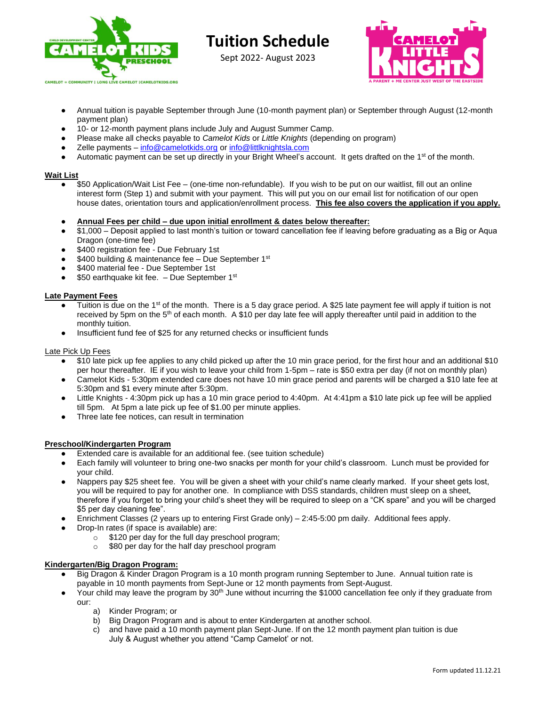

Sept 2022- August 2023



- Annual tuition is payable September through June (10-month payment plan) or September through August (12-month payment plan)
- 10- or 12-month payment plans include July and August Summer Camp.
- Please make all checks payable to *Camelot Kids* or *Little Knights* (depending on program)
- Zelle payments [info@camelotkids.org](mailto:info@camelotkids.org) or [info@littlknightsla.com](mailto:info@littlknightsla.com)
- Automatic payment can be set up directly in your Bright Wheel's account. It gets drafted on the 1<sup>st</sup> of the month.

### **Wait List**

- \$50 Application/Wait List Fee (one-time non-refundable). If you wish to be put on our waitlist, fill out an online interest form (Step 1) and submit with your payment. This will put you on our email list for notification of our open house dates, orientation tours and application/enrollment process. **This fee also covers the application if you apply.**
- **Annual Fees per child – due upon initial enrollment & dates below thereafter:**
- \$1,000 Deposit applied to last month's tuition or toward cancellation fee if leaving before graduating as a Big or Aqua Dragon (one-time fee)
- \$400 registration fee Due February 1st
- \$400 building & maintenance fee Due September 1st
- \$400 material fee Due September 1st
- $\bullet$  \$50 earthquake kit fee.  $-$  Due September 1<sup>st</sup>

### **Late Payment Fees**

- Tuition is due on the 1<sup>st</sup> of the month. There is a 5 day grace period. A \$25 late payment fee will apply if tuition is not received by 5pm on the 5th of each month. A \$10 per day late fee will apply thereafter until paid in addition to the monthly tuition.
- Insufficient fund fee of \$25 for any returned checks or insufficient funds

#### Late Pick Up Fees

- \$10 late pick up fee applies to any child picked up after the 10 min grace period, for the first hour and an additional \$10 per hour thereafter. IE if you wish to leave your child from 1-5pm – rate is \$50 extra per day (if not on monthly plan)
- Camelot Kids 5:30pm extended care does not have 10 min grace period and parents will be charged a \$10 late fee at 5:30pm and \$1 every minute after 5:30pm.
- Little Knights 4:30pm pick up has a 10 min grace period to 4:40pm. At 4:41pm a \$10 late pick up fee will be applied till 5pm. At 5pm a late pick up fee of \$1.00 per minute applies.
- Three late fee notices, can result in termination

### **Preschool/Kindergarten Program**

- Extended care is available for an additional fee. (see tuition schedule)
- Each family will volunteer to bring one-two snacks per month for your child's classroom. Lunch must be provided for your child.
- Nappers pay \$25 sheet fee. You will be given a sheet with your child's name clearly marked. If your sheet gets lost, you will be required to pay for another one. In compliance with DSS standards, children must sleep on a sheet, therefore if you forget to bring your child's sheet they will be required to sleep on a "CK spare" and you will be charged \$5 per day cleaning fee".
- Enrichment Classes (2 years up to entering First Grade only) 2:45-5:00 pm daily. Additional fees apply.
- Drop-In rates (if space is available) are:
	- o \$120 per day for the full day preschool program;
	- o \$80 per day for the half day preschool program

### **Kindergarten/Big Dragon Program:**

- Big Dragon & Kinder Dragon Program is a 10 month program running September to June. Annual tuition rate is payable in 10 month payments from Sept-June or 12 month payments from Sept-August.
- Your child may leave the program by 30<sup>th</sup> June without incurring the \$1000 cancellation fee only if they graduate from our:
	- a) Kinder Program; or
	- b) Big Dragon Program and is about to enter Kindergarten at another school.
	- c) and have paid a 10 month payment plan Sept-June. If on the 12 month payment plan tuition is due July & August whether you attend "Camp Camelot' or not.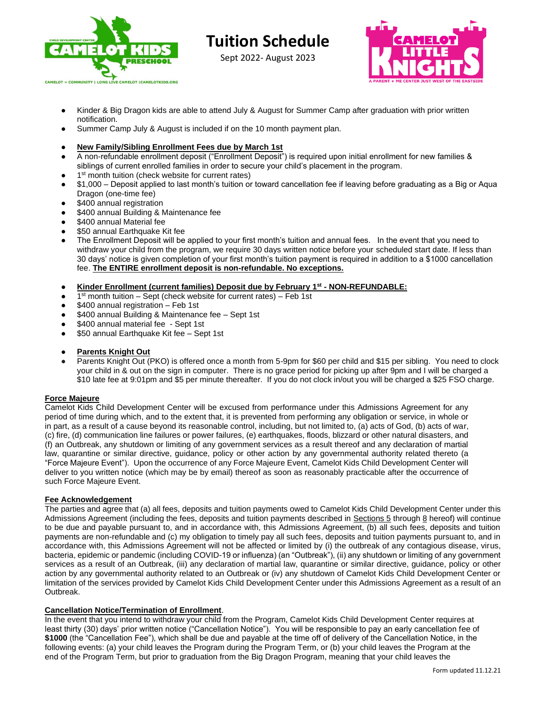

Sept 2022- August 2023



- Kinder & Big Dragon kids are able to attend July & August for Summer Camp after graduation with prior written notification.
- Summer Camp July & August is included if on the 10 month payment plan.
- **New Family/Sibling Enrollment Fees due by March 1st**
- A non-refundable enrollment deposit ("Enrollment Deposit") is required upon initial enrollment for new families & siblings of current enrolled families in order to secure your child's placement in the program.
- 1<sup>st</sup> month tuition (check website for current rates)
- \$1,000 Deposit applied to last month's tuition or toward cancellation fee if leaving before graduating as a Big or Aqua Dragon (one-time fee)
- \$400 annual registration
- \$400 annual Building & Maintenance fee
- \$400 annual Material fee
- \$50 annual Earthquake Kit fee
- The Enrollment Deposit will be applied to your first month's tuition and annual fees. In the event that you need to withdraw your child from the program, we require 30 days written notice before your scheduled start date. If less than 30 days' notice is given completion of your first month's tuition payment is required in addition to a \$1000 cancellation fee. **The ENTIRE enrollment deposit is non-refundable. No exceptions.**
- **Kinder Enrollment (current families) Deposit due by February 1st - NON-REFUNDABLE:**
- 1<sup>st</sup> month tuition Sept (check website for current rates) Feb 1st
- $$400$  annual registration Feb 1st
- \$400 annual Building & Maintenance fee Sept 1st
- \$400 annual material fee Sept 1st
- \$50 annual Earthquake Kit fee Sept 1st
- **Parents Knight Out**
- Parents Knight Out (PKO) is offered once a month from 5-9pm for \$60 per child and \$15 per sibling. You need to clock your child in & out on the sign in computer. There is no grace period for picking up after 9pm and I will be charged a \$10 late fee at 9:01pm and \$5 per minute thereafter. If you do not clock in/out you will be charged a \$25 FSO charge.

### **Force Majeure**

Camelot Kids Child Development Center will be excused from performance under this Admissions Agreement for any period of time during which, and to the extent that, it is prevented from performing any obligation or service, in whole or in part, as a result of a cause beyond its reasonable control, including, but not limited to, (a) acts of God, (b) acts of war, (c) fire, (d) communication line failures or power failures, (e) earthquakes, floods, blizzard or other natural disasters, and (f) an Outbreak, any shutdown or limiting of any government services as a result thereof and any declaration of martial law, quarantine or similar directive, guidance, policy or other action by any governmental authority related thereto (a "Force Majeure Event"). Upon the occurrence of any Force Majeure Event, Camelot Kids Child Development Center will deliver to you written notice (which may be by email) thereof as soon as reasonably practicable after the occurrence of such Force Majeure Event.

# **Fee Acknowledgement**

The parties and agree that (a) all fees, deposits and tuition payments owed to Camelot Kids Child Development Center under this Admissions Agreement (including the fees, deposits and tuition payments described in Sections 5 through 8 hereof) will continue to be due and payable pursuant to, and in accordance with, this Admissions Agreement, (b) all such fees, deposits and tuition payments are non-refundable and (c) my obligation to timely pay all such fees, deposits and tuition payments pursuant to, and in accordance with, this Admissions Agreement will not be affected or limited by (i) the outbreak of any contagious disease, virus, bacteria, epidemic or pandemic (including COVID-19 or influenza) (an "Outbreak"), (ii) any shutdown or limiting of any government services as a result of an Outbreak, (iii) any declaration of martial law, quarantine or similar directive, guidance, policy or other action by any governmental authority related to an Outbreak or (iv) any shutdown of Camelot Kids Child Development Center or limitation of the services provided by Camelot Kids Child Development Center under this Admissions Agreement as a result of an Outbreak.

### **Cancellation Notice/Termination of Enrollment**.

In the event that you intend to withdraw your child from the Program, Camelot Kids Child Development Center requires at least thirty (30) days' prior written notice ("Cancellation Notice"). You will be responsible to pay an early cancellation fee of **\$1000** (the "Cancellation Fee"), which shall be due and payable at the time off of delivery of the Cancellation Notice, in the following events: (a) your child leaves the Program during the Program Term, or (b) your child leaves the Program at the end of the Program Term, but prior to graduation from the Big Dragon Program, meaning that your child leaves the